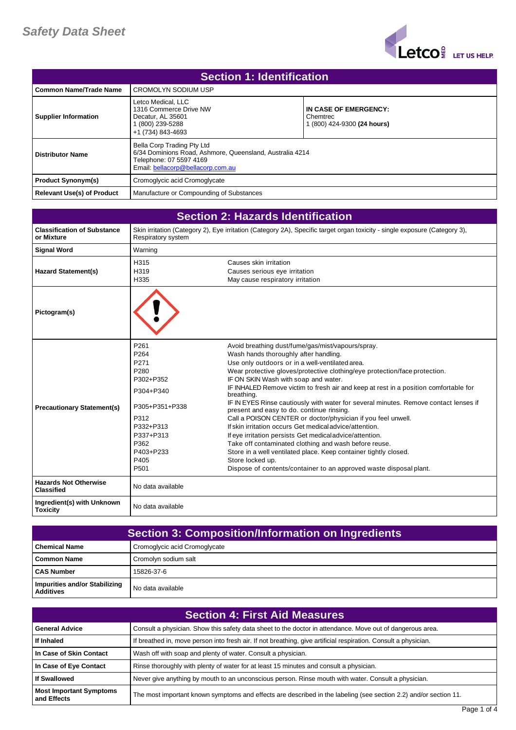

| Section 1: Identification   |                                                                                                                                                        |                                                                  |
|-----------------------------|--------------------------------------------------------------------------------------------------------------------------------------------------------|------------------------------------------------------------------|
| l Common Name/Trade Name    | <b>CROMOLYN SODIUM USP</b>                                                                                                                             |                                                                  |
| <b>Supplier Information</b> | Letco Medical, LLC<br>1316 Commerce Drive NW<br>Decatur. AL 35601<br>(800) 239-5288<br>+1 (734) 843-4693                                               | IN CASE OF EMERGENCY:<br>Chemtrec<br>1 (800) 424-9300 (24 hours) |
| <b>Distributor Name</b>     | Bella Corp Trading Pty Ltd<br>6/34 Dominions Road, Ashmore, Queensland, Australia 4214<br>Telephone: 07 5597 4169<br>Email: bellacorp@bellacorp.com.au |                                                                  |
| <b>Product Synonym(s)</b>   | Cromoglycic acid Cromoglycate                                                                                                                          |                                                                  |
| Relevant Use(s) of Product  | Manufacture or Compounding of Substances                                                                                                               |                                                                  |

| <b>Section 2: Hazards Identification</b>          |                                                                                                                                                             |                                                                                                                                                                                                                                                                                                                                                                                                                                                                                                                                                                                                                                                                                                                                                                                                                                                                                                                              |
|---------------------------------------------------|-------------------------------------------------------------------------------------------------------------------------------------------------------------|------------------------------------------------------------------------------------------------------------------------------------------------------------------------------------------------------------------------------------------------------------------------------------------------------------------------------------------------------------------------------------------------------------------------------------------------------------------------------------------------------------------------------------------------------------------------------------------------------------------------------------------------------------------------------------------------------------------------------------------------------------------------------------------------------------------------------------------------------------------------------------------------------------------------------|
| <b>Classification of Substance</b><br>or Mixture  | Respiratory system                                                                                                                                          | Skin irritation (Category 2), Eye irritation (Category 2A), Specific target organ toxicity - single exposure (Category 3),                                                                                                                                                                                                                                                                                                                                                                                                                                                                                                                                                                                                                                                                                                                                                                                                   |
| <b>Signal Word</b>                                | Warning                                                                                                                                                     |                                                                                                                                                                                                                                                                                                                                                                                                                                                                                                                                                                                                                                                                                                                                                                                                                                                                                                                              |
| <b>Hazard Statement(s)</b>                        | H315<br>H319<br>H335                                                                                                                                        | Causes skin irritation<br>Causes serious eye irritation<br>May cause respiratory irritation                                                                                                                                                                                                                                                                                                                                                                                                                                                                                                                                                                                                                                                                                                                                                                                                                                  |
| Pictogram(s)                                      |                                                                                                                                                             |                                                                                                                                                                                                                                                                                                                                                                                                                                                                                                                                                                                                                                                                                                                                                                                                                                                                                                                              |
| <b>Precautionary Statement(s)</b>                 | P261<br>P <sub>264</sub><br>P271<br>P280<br>P302+P352<br>P304+P340<br>P305+P351+P338<br>P312<br>P332+P313<br>P337+P313<br>P362<br>P403+P233<br>P405<br>P501 | Avoid breathing dust/fume/gas/mist/vapours/spray.<br>Wash hands thoroughly after handling.<br>Use only outdoors or in a well-ventilated area.<br>Wear protective gloves/protective clothing/eye protection/face protection.<br>IF ON SKIN Wash with soap and water.<br>IF INHALED Remove victim to fresh air and keep at rest in a position comfortable for<br>breathing.<br>IF IN EYES Rinse cautiously with water for several minutes. Remove contact lenses if<br>present and easy to do. continue rinsing.<br>Call a POISON CENTER or doctor/physician if you feel unwell.<br>If skin irritation occurs Get medical advice/attention.<br>If eye irritation persists Get medical advice/attention.<br>Take off contaminated clothing and wash before reuse.<br>Store in a well ventilated place. Keep container tightly closed.<br>Store locked up.<br>Dispose of contents/container to an approved waste disposal plant. |
| <b>Hazards Not Otherwise</b><br><b>Classified</b> | No data available                                                                                                                                           |                                                                                                                                                                                                                                                                                                                                                                                                                                                                                                                                                                                                                                                                                                                                                                                                                                                                                                                              |
| Ingredient(s) with Unknown<br><b>Toxicity</b>     | No data available                                                                                                                                           |                                                                                                                                                                                                                                                                                                                                                                                                                                                                                                                                                                                                                                                                                                                                                                                                                                                                                                                              |

| <b>Section 3: Composition/Information on Ingredients</b> |                               |
|----------------------------------------------------------|-------------------------------|
| <b>Chemical Name</b>                                     | Cromoglycic acid Cromoglycate |
| Common Name                                              | Cromolyn sodium salt          |
| <b>CAS Number</b>                                        | 15826-37-6                    |
| Impurities and/or Stabilizing<br><b>Additives</b>        | No data available             |

| <b>Section 4: First Aid Measures</b>          |                                                                                                                  |
|-----------------------------------------------|------------------------------------------------------------------------------------------------------------------|
| <b>General Advice</b>                         | Consult a physician. Show this safety data sheet to the doctor in attendance. Move out of dangerous area.        |
| If Inhaled                                    | If breathed in, move person into fresh air. If not breathing, give artificial respiration. Consult a physician.  |
| In Case of Skin Contact                       | Wash off with soap and plenty of water. Consult a physician.                                                     |
| In Case of Eye Contact                        | Rinse thoroughly with plenty of water for at least 15 minutes and consult a physician.                           |
| <b>If Swallowed</b>                           | Never give anything by mouth to an unconscious person. Rinse mouth with water. Consult a physician.              |
| <b>Most Important Symptoms</b><br>and Effects | The most important known symptoms and effects are described in the labeling (see section 2.2) and/or section 11. |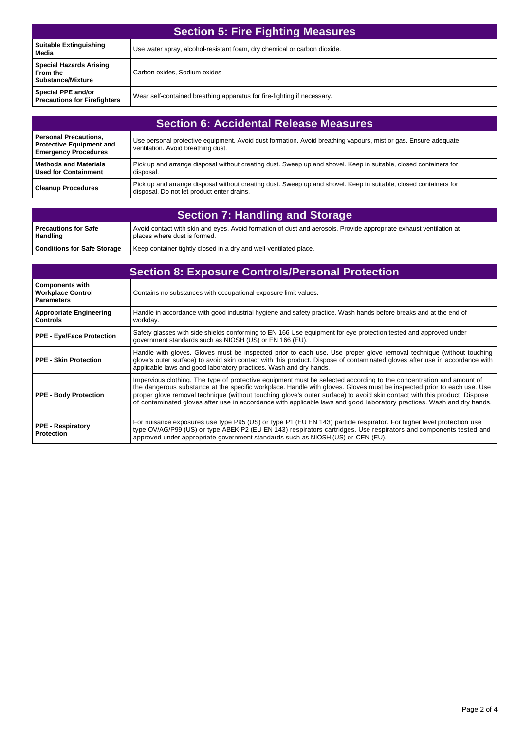| <b>Section 5: Fire Fighting Measures</b>                               |                                                                          |
|------------------------------------------------------------------------|--------------------------------------------------------------------------|
| <b>Suitable Extinguishing</b><br>Media                                 | Use water spray, alcohol-resistant foam, dry chemical or carbon dioxide. |
| <b>Special Hazards Arising</b><br>From the<br><b>Substance/Mixture</b> | Carbon oxides, Sodium oxides                                             |
| Special PPE and/or<br><b>Precautions for Firefighters</b>              | Wear self-contained breathing apparatus for fire-fighting if necessary.  |

| <b>Section 6: Accidental Release Measures</b>                                                  |                                                                                                                                                                |
|------------------------------------------------------------------------------------------------|----------------------------------------------------------------------------------------------------------------------------------------------------------------|
| <b>Personal Precautions,</b><br><b>Protective Equipment and</b><br><b>Emergency Procedures</b> | Use personal protective equipment. Avoid dust formation. Avoid breathing vapours, mist or gas. Ensure adequate<br>ventilation. Avoid breathing dust.           |
| <b>Methods and Materials</b><br><b>Used for Containment</b>                                    | Pick up and arrange disposal without creating dust. Sweep up and shovel. Keep in suitable, closed containers for<br>disposal.                                  |
| <b>Cleanup Procedures</b>                                                                      | Pick up and arrange disposal without creating dust. Sweep up and shovel. Keep in suitable, closed containers for<br>disposal. Do not let product enter drains. |

| <b>Section 7: Handling and Storage</b> |                                                                                                                                                    |
|----------------------------------------|----------------------------------------------------------------------------------------------------------------------------------------------------|
| l Precautions for Safe<br>Handling     | Avoid contact with skin and eyes. Avoid formation of dust and aerosols. Provide appropriate exhaust ventilation at<br>places where dust is formed. |
| <b>Conditions for Safe Storage</b>     | Keep container tightly closed in a dry and well-ventilated place.                                                                                  |

| <b>Section 8: Exposure Controls/Personal Protection</b>                 |                                                                                                                                                                                                                                                                                                                                                                                                                                                                                                     |
|-------------------------------------------------------------------------|-----------------------------------------------------------------------------------------------------------------------------------------------------------------------------------------------------------------------------------------------------------------------------------------------------------------------------------------------------------------------------------------------------------------------------------------------------------------------------------------------------|
| <b>Components with</b><br><b>Workplace Control</b><br><b>Parameters</b> | Contains no substances with occupational exposure limit values.                                                                                                                                                                                                                                                                                                                                                                                                                                     |
| <b>Appropriate Engineering</b><br><b>Controls</b>                       | Handle in accordance with good industrial hygiene and safety practice. Wash hands before breaks and at the end of<br>workday.                                                                                                                                                                                                                                                                                                                                                                       |
| <b>PPE - Eye/Face Protection</b>                                        | Safety glasses with side shields conforming to EN 166 Use equipment for eye protection tested and approved under<br>government standards such as NIOSH (US) or EN 166 (EU).                                                                                                                                                                                                                                                                                                                         |
| <b>PPE - Skin Protection</b>                                            | Handle with gloves. Gloves must be inspected prior to each use. Use proper glove removal technique (without touching<br>glove's outer surface) to avoid skin contact with this product. Dispose of contaminated gloves after use in accordance with<br>applicable laws and good laboratory practices. Wash and dry hands.                                                                                                                                                                           |
| <b>PPE - Body Protection</b>                                            | Impervious clothing. The type of protective equipment must be selected according to the concentration and amount of<br>the dangerous substance at the specific workplace. Handle with gloves. Gloves must be inspected prior to each use. Use<br>proper glove removal technique (without touching glove's outer surface) to avoid skin contact with this product. Dispose<br>of contaminated gloves after use in accordance with applicable laws and good laboratory practices. Wash and dry hands. |
| <b>PPE - Respiratory</b><br><b>Protection</b>                           | For nuisance exposures use type P95 (US) or type P1 (EU EN 143) particle respirator. For higher level protection use<br>type OV/AG/P99 (US) or type ABEK-P2 (EU EN 143) respirators cartridges. Use respirators and components tested and<br>approved under appropriate government standards such as NIOSH (US) or CEN (EU).                                                                                                                                                                        |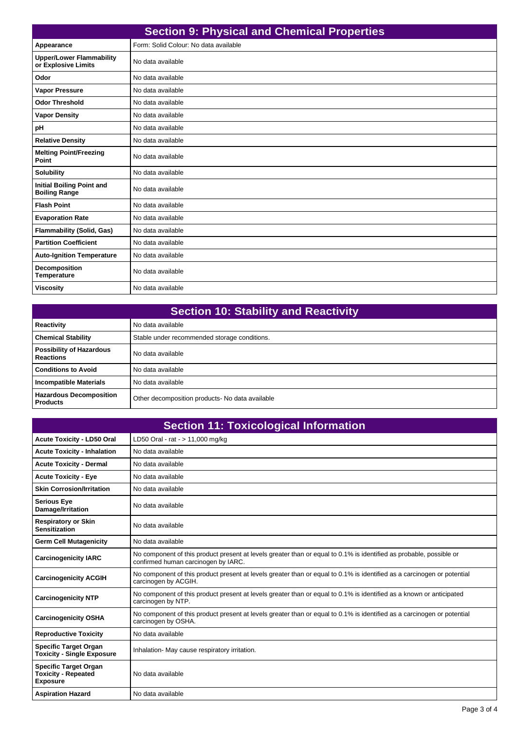| <b>Section 9: Physical and Chemical Properties</b>       |                                       |
|----------------------------------------------------------|---------------------------------------|
| Appearance                                               | Form: Solid Colour: No data available |
| <b>Upper/Lower Flammability</b><br>or Explosive Limits   | No data available                     |
| Odor                                                     | No data available                     |
| <b>Vapor Pressure</b>                                    | No data available                     |
| <b>Odor Threshold</b>                                    | No data available                     |
| <b>Vapor Density</b>                                     | No data available                     |
| pH                                                       | No data available                     |
| <b>Relative Density</b>                                  | No data available                     |
| <b>Melting Point/Freezing</b><br>Point                   | No data available                     |
| <b>Solubility</b>                                        | No data available                     |
| <b>Initial Boiling Point and</b><br><b>Boiling Range</b> | No data available                     |
| <b>Flash Point</b>                                       | No data available                     |
| <b>Evaporation Rate</b>                                  | No data available                     |
| <b>Flammability (Solid, Gas)</b>                         | No data available                     |
| <b>Partition Coefficient</b>                             | No data available                     |
| <b>Auto-Ignition Temperature</b>                         | No data available                     |
| <b>Decomposition</b><br><b>Temperature</b>               | No data available                     |
| <b>Viscosity</b>                                         | No data available                     |

| <b>Section 10: Stability and Reactivity</b>         |                                                 |
|-----------------------------------------------------|-------------------------------------------------|
| Reactivity                                          | No data available                               |
| <b>Chemical Stability</b>                           | Stable under recommended storage conditions.    |
| <b>Possibility of Hazardous</b><br><b>Reactions</b> | No data available                               |
| <b>Conditions to Avoid</b>                          | No data available                               |
| <b>Incompatible Materials</b>                       | No data available                               |
| <b>Hazardous Decomposition</b><br><b>Products</b>   | Other decomposition products- No data available |

| <b>Section 11: Toxicological Information</b>                                  |                                                                                                                                                            |  |
|-------------------------------------------------------------------------------|------------------------------------------------------------------------------------------------------------------------------------------------------------|--|
| <b>Acute Toxicity - LD50 Oral</b>                                             | LD50 Oral - rat - > 11,000 mg/kg                                                                                                                           |  |
| <b>Acute Toxicity - Inhalation</b>                                            | No data available                                                                                                                                          |  |
| <b>Acute Toxicity - Dermal</b>                                                | No data available                                                                                                                                          |  |
| <b>Acute Toxicity - Eye</b>                                                   | No data available                                                                                                                                          |  |
| <b>Skin Corrosion/Irritation</b>                                              | No data available                                                                                                                                          |  |
| <b>Serious Eye</b><br>Damage/Irritation                                       | No data available                                                                                                                                          |  |
| <b>Respiratory or Skin</b><br><b>Sensitization</b>                            | No data available                                                                                                                                          |  |
| <b>Germ Cell Mutagenicity</b>                                                 | No data available                                                                                                                                          |  |
| <b>Carcinogenicity IARC</b>                                                   | No component of this product present at levels greater than or equal to 0.1% is identified as probable, possible or<br>confirmed human carcinogen by IARC. |  |
| <b>Carcinogenicity ACGIH</b>                                                  | No component of this product present at levels greater than or equal to 0.1% is identified as a carcinogen or potential<br>carcinogen by ACGIH.            |  |
| <b>Carcinogenicity NTP</b>                                                    | No component of this product present at levels greater than or equal to 0.1% is identified as a known or anticipated<br>carcinogen by NTP.                 |  |
| <b>Carcinogenicity OSHA</b>                                                   | No component of this product present at levels greater than or equal to 0.1% is identified as a carcinogen or potential<br>carcinogen by OSHA.             |  |
| <b>Reproductive Toxicity</b>                                                  | No data available                                                                                                                                          |  |
| <b>Specific Target Organ</b><br><b>Toxicity - Single Exposure</b>             | Inhalation- May cause respiratory irritation.                                                                                                              |  |
| <b>Specific Target Organ</b><br><b>Toxicity - Repeated</b><br><b>Exposure</b> | No data available                                                                                                                                          |  |
| <b>Aspiration Hazard</b>                                                      | No data available                                                                                                                                          |  |